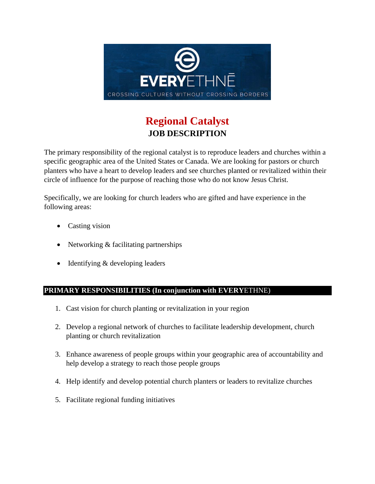

# **Regional Catalyst JOB DESCRIPTION**

The primary responsibility of the regional catalyst is to reproduce leaders and churches within a specific geographic area of the United States or Canada. We are looking for pastors or church planters who have a heart to develop leaders and see churches planted or revitalized within their circle of influence for the purpose of reaching those who do not know Jesus Christ.

Specifically, we are looking for church leaders who are gifted and have experience in the following areas:

- Casting vision
- Networking & facilitating partnerships
- Identifying & developing leaders

#### **PRIMARY RESPONSIBILITIES (In conjunction with EVERY**ETHNE)

- 1. Cast vision for church planting or revitalization in your region
- 2. Develop a regional network of churches to facilitate leadership development, church planting or church revitalization
- 3. Enhance awareness of people groups within your geographic area of accountability and help develop a strategy to reach those people groups
- 4. Help identify and develop potential church planters or leaders to revitalize churches
- 5. Facilitate regional funding initiatives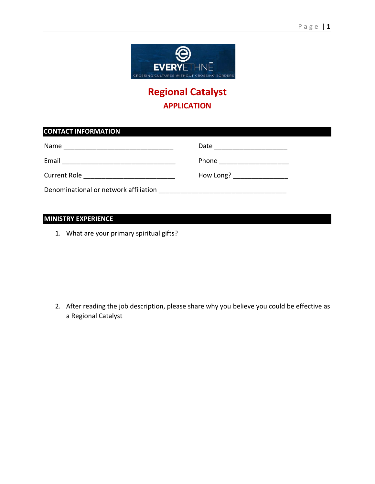

# **Regional Catalyst APPLICATION**

### **CONTACT INFORMATION**

| Name                                  | Date      |
|---------------------------------------|-----------|
| Email                                 | Phone     |
| <b>Current Role</b>                   | How Long? |
| Denominational or network affiliation |           |

### **MINISTRY EXPERIENCE**

1. What are your primary spiritual gifts?

2. After reading the job description, please share why you believe you could be effective as a Regional Catalyst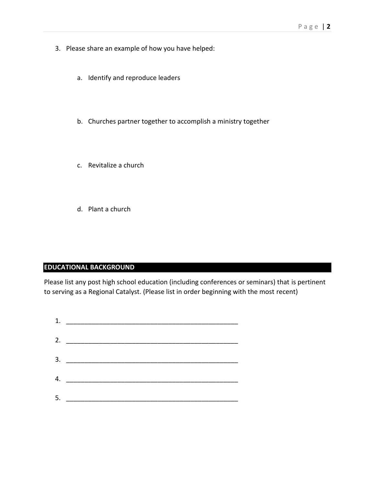- 3. Please share an example of how you have helped:
	- a. Identify and reproduce leaders
	- b. Churches partner together to accomplish a ministry together
	- c. Revitalize a church
	- d. Plant a church

### **EDUCATIONAL BACKGROUND**

Please list any post high school education (including conferences or seminars) that is pertinent to serving as a Regional Catalyst. (Please list in order beginning with the most recent)

|    | 1. $\qquad$        |  |
|----|--------------------|--|
|    | 2. $\qquad \qquad$ |  |
|    | 3.                 |  |
|    |                    |  |
|    | 4. $\qquad \qquad$ |  |
| 5. |                    |  |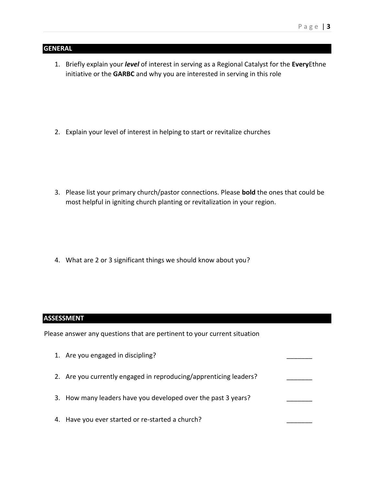#### **GENERAL**

1. Briefly explain your *level* of interest in serving as a Regional Catalyst for the **Every**Ethne initiative or the **GARBC** and why you are interested in serving in this role

2. Explain your level of interest in helping to start or revitalize churches

3. Please list your primary church/pastor connections. Please **bold** the ones that could be most helpful in igniting church planting or revitalization in your region.

4. What are 2 or 3 significant things we should know about you?

#### **ASSESSMENT**

Please answer any questions that are pertinent to your current situation

- 1. Are you engaged in discipling? 2. Are you currently engaged in reproducing/apprenticing leaders?
- 3. How many leaders have you developed over the past 3 years?
- 4. Have you ever started or re-started a church?